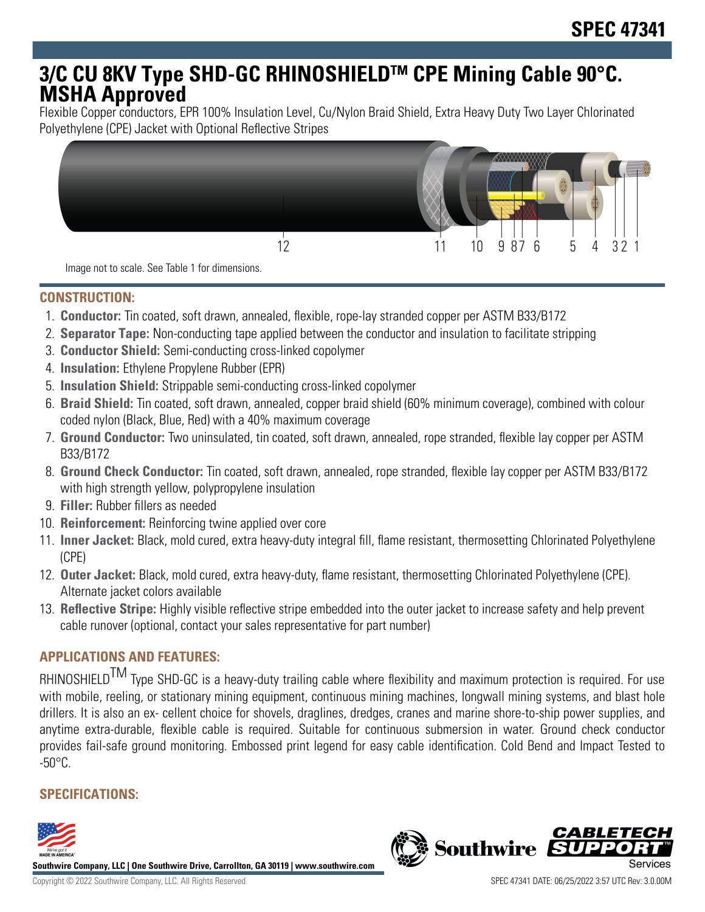# **3/C CU 8KV Type SHD-GC RHINOSHIELDTM CPE Mining Cable 90°C. MSHA Approved**

Flexible Copper conductors, EPR 100% Insulation Level, Cu/Nylon Braid Shield, Extra Heavy Duty Two Layer Chlorinated Polyethylene (CPE) Jacket with Optional Reflective Stripes



**CONSTRUCTION:**

- 1. **Conductor:** Tin coated, soft drawn, annealed, flexible, rope-lay stranded copper per ASTM B33/B172
- 2. **Separator Tape:** Non-conducting tape applied between the conductor and insulation to facilitate stripping
- 3. **Conductor Shield:** Semi-conducting cross-linked copolymer
- 4. **Insulation:** Ethylene Propylene Rubber (EPR)
- 5. **Insulation Shield:** Strippable semi-conducting cross-linked copolymer
- 6. **Braid Shield:** Tin coated, soft drawn, annealed, copper braid shield (60% minimum coverage), combined with colour coded nylon (Black, Blue, Red) with a 40% maximum coverage
- 7. **Ground Conductor:** Two uninsulated, tin coated, soft drawn, annealed, rope stranded, flexible lay copper per ASTM B33/B172
- 8. **Ground Check Conductor:** Tin coated, soft drawn, annealed, rope stranded, flexible lay copper per ASTM B33/B172 with high strength yellow, polypropylene insulation
- 9. **Filler:** Rubber fillers as needed
- 10. **Reinforcement:** Reinforcing twine applied over core
- 11. **Inner Jacket:** Black, mold cured, extra heavy-duty integral fill, flame resistant, thermosetting Chlorinated Polyethylene (CPE)
- 12. **Outer Jacket:** Black, mold cured, extra heavy-duty, flame resistant, thermosetting Chlorinated Polyethylene (CPE). Alternate jacket colors available
- 13. **Reflective Stripe:** Highly visible reflective stripe embedded into the outer jacket to increase safety and help prevent cable runover (optional, contact your sales representative for part number)

## **APPLICATIONS AND FEATURES:**

RHINOSHIELD<sup>TM</sup> Type SHD-GC is a heavy-duty trailing cable where flexibility and maximum protection is required. For use with mobile, reeling, or stationary mining equipment, continuous mining machines, longwall mining systems, and blast hole drillers. It is also an ex- cellent choice for shovels, draglines, dredges, cranes and marine shore-to-ship power supplies, and anytime extra-durable, flexible cable is required. Suitable for continuous submersion in water. Ground check conductor provides fail-safe ground monitoring. Embossed print legend for easy cable identification. Cold Bend and Impact Tested to  $-50^{\circ}$ C.

# **SPECIFICATIONS:**



**Southwire Company, LLC | One Southwire Drive, Carrollton, GA 30119 | www.southwire.com**

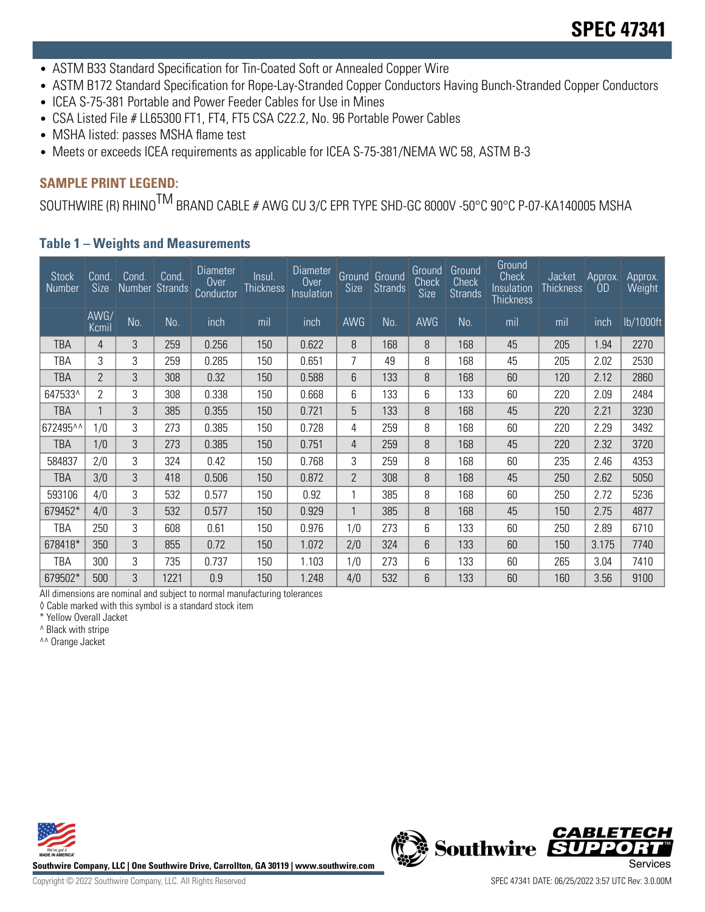- ASTM B33 Standard Specification for Tin-Coated Soft or Annealed Copper Wire
- ASTM B172 Standard Specification for Rope-Lay-Stranded Copper Conductors Having Bunch-Stranded Copper Conductors
- ICEA S-75-381 Portable and Power Feeder Cables for Use in Mines
- CSA Listed File # LL65300 FT1, FT4, FT5 CSA C22.2, No. 96 Portable Power Cables
- MSHA listed: passes MSHA flame test
- Meets or exceeds ICEA requirements as applicable for ICEA S-75-381/NEMA WC 58, ASTM B-3

### **SAMPLE PRINT LEGEND:**

SOUTHWIRE (R) RHINO<sup>TM</sup> BRAND CABLE # AWG CU 3/C EPR TYPE SHD-GC 8000V -50°C 90°C P-07-KA140005 MSHA

#### **Table 1 – Weights and Measurements**

| <b>Stock</b><br>Number | Cond.<br><b>Size</b> | Cond.<br>Number Strands | Cond. | Diameter<br>0 <sub>ver</sub><br>Conductor | Insul.<br>Thickness | <b>Diameter</b><br>Over<br>Insulation | <b>Size</b>    | Ground Ground<br><b>Strands</b> | Ground<br>Check<br>Size | Ground<br>Check<br><b>Strands</b> | Ground<br><b>Check</b><br>Insulation<br>Thickness | Jacket<br>Thickness | Approx.<br><b>OD</b> | Арргох.<br>Weight |
|------------------------|----------------------|-------------------------|-------|-------------------------------------------|---------------------|---------------------------------------|----------------|---------------------------------|-------------------------|-----------------------------------|---------------------------------------------------|---------------------|----------------------|-------------------|
|                        | AWG/<br>Kcmil        | No.                     | No.   | inch                                      | mil                 | inch                                  | <b>AWG</b>     | No.                             | <b>AWG</b>              | No.                               | mil                                               | mil                 | inch                 | lb/1000ft         |
| <b>TBA</b>             | 4                    | 3                       | 259   | 0.256                                     | 150                 | 0.622                                 | 8              | 168                             | 8                       | 168                               | 45                                                | 205                 | 1.94                 | 2270              |
| TBA                    | 3                    | 3                       | 259   | 0.285                                     | 150                 | 0.651                                 | 7              | 49                              | 8                       | 168                               | 45                                                | 205                 | 2.02                 | 2530              |
| <b>TBA</b>             | $\overline{2}$       | 3                       | 308   | 0.32                                      | 150                 | 0.588                                 | 6              | 133                             | 8                       | 168                               | 60                                                | 120                 | 2.12                 | 2860              |
| 647533^                | 2                    | 3                       | 308   | 0.338                                     | 150                 | 0.668                                 | 6              | 133                             | 6                       | 133                               | 60                                                | 220                 | 2.09                 | 2484              |
| <b>TBA</b>             |                      | 3                       | 385   | 0.355                                     | 150                 | 0.721                                 | 5              | 133                             | 8                       | 168                               | 45                                                | 220                 | 2.21                 | 3230              |
| 672495^^               | 1/0                  | 3                       | 273   | 0.385                                     | 150                 | 0.728                                 | 4              | 259                             | 8                       | 168                               | 60                                                | 220                 | 2.29                 | 3492              |
| TBA                    | 1/0                  | 3                       | 273   | 0.385                                     | 150                 | 0.751                                 | 4              | 259                             | 8                       | 168                               | 45                                                | 220                 | 2.32                 | 3720              |
| 584837                 | 2/0                  | 3                       | 324   | 0.42                                      | 150                 | 0.768                                 | 3              | 259                             | 8                       | 168                               | 60                                                | 235                 | 2.46                 | 4353              |
| <b>TBA</b>             | 3/0                  | 3                       | 418   | 0.506                                     | 150                 | 0.872                                 | $\overline{2}$ | 308                             | 8                       | 168                               | 45                                                | 250                 | 2.62                 | 5050              |
| 593106                 | 4/0                  | 3                       | 532   | 0.577                                     | 150                 | 0.92                                  |                | 385                             | 8                       | 168                               | 60                                                | 250                 | 2.72                 | 5236              |
| 679452*                | 4/0                  | 3                       | 532   | 0.577                                     | 150                 | 0.929                                 | $\mathbf{1}$   | 385                             | 8                       | 168                               | 45                                                | 150                 | 2.75                 | 4877              |
| TBA                    | 250                  | 3                       | 608   | 0.61                                      | 150                 | 0.976                                 | 1/0            | 273                             | 6                       | 133                               | 60                                                | 250                 | 2.89                 | 6710              |
| 678418*                | 350                  | 3                       | 855   | 0.72                                      | 150                 | 1.072                                 | 2/0            | 324                             | 6                       | 133                               | 60                                                | 150                 | 3.175                | 7740              |
| TBA                    | 300                  | 3                       | 735   | 0.737                                     | 150                 | 1.103                                 | 1/0            | 273                             | 6                       | 133                               | 60                                                | 265                 | 3.04                 | 7410              |
| 679502*                | 500                  | 3                       | 1221  | 0.9                                       | 150                 | 1.248                                 | 4/0            | 532                             | 6                       | 133                               | 60                                                | 160                 | 3.56                 | 9100              |

All dimensions are nominal and subject to normal manufacturing tolerances

◊ Cable marked with this symbol is a standard stock item

\* Yellow Overall Jacket

^ Black with stripe

^^ Orange Jacket



**Southwire Company, LLC | One Southwire Drive, Carrollton, GA 30119 | www.southwire.com**